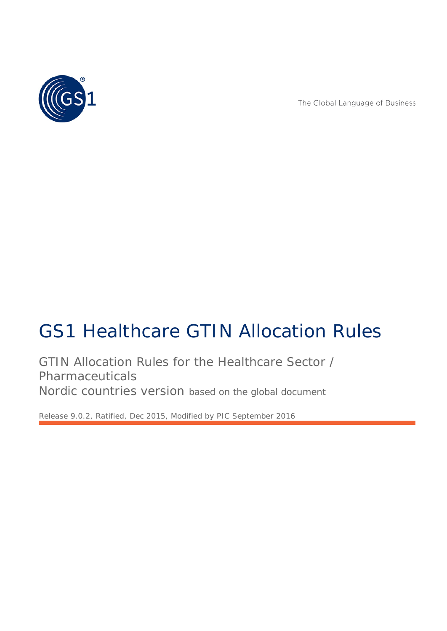

The Global Language of Business

# GS1 Healthcare GTIN Allocation Rules

GTIN Allocation Rules for the Healthcare Sector / Pharmaceuticals Nordic countries version based on the global document

*Release 9.0.2, Ratified, Dec 2015, Modified by PIC September 2016*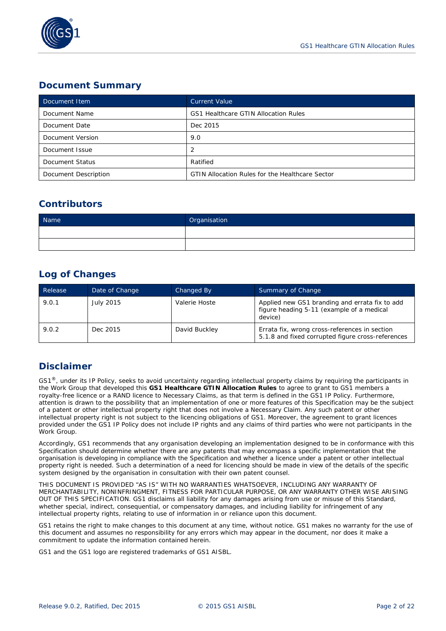

## **Document Summary**

| Document Item        | <b>Current Value</b>                                   |
|----------------------|--------------------------------------------------------|
| Document Name        | GS1 Healthcare GTIN Allocation Rules                   |
| Document Date        | Dec 2015                                               |
| Document Version     | 9.0                                                    |
| Document Issue       | 2                                                      |
| Document Status      | Ratified                                               |
| Document Description | <b>GTIN Allocation Rules for the Healthcare Sector</b> |

## **Contributors**

| Name | Organisation |
|------|--------------|
|      |              |
|      |              |

## **Log of Changes**

| Release | Date of Change | Changed By    | Summary of Change                                                                                      |
|---------|----------------|---------------|--------------------------------------------------------------------------------------------------------|
| 9.0.1   | July 2015      | Valerie Hoste | Applied new GS1 branding and errata fix to add<br>figure heading 5-11 (example of a medical<br>device) |
| 9.0.2   | Dec 2015       | David Buckley | Errata fix, wrong cross-references in section<br>5.1.8 and fixed corrupted figure cross-references     |

### **Disclaimer**

 $GS1<sup>®</sup>$ , under its IP Policy, seeks to avoid uncertainty regarding intellectual property claims by requiring the participants in the Work Group that developed this **GS1 Healthcare GTIN Allocation Rules** to agree to grant to GS1 members a royalty-free licence or a RAND licence to Necessary Claims, as that term is defined in the GS1 IP Policy. Furthermore, attention is drawn to the possibility that an implementation of one or more features of this Specification may be the subject of a patent or other intellectual property right that does not involve a Necessary Claim. Any such patent or other intellectual property right is not subject to the licencing obligations of GS1. Moreover, the agreement to grant licences provided under the GS1 IP Policy does not include IP rights and any claims of third parties who were not participants in the Work Group.

Accordingly, GS1 recommends that any organisation developing an implementation designed to be in conformance with this Specification should determine whether there are any patents that may encompass a specific implementation that the organisation is developing in compliance with the Specification and whether a licence under a patent or other intellectual property right is needed. Such a determination of a need for licencing should be made in view of the details of the specific system designed by the organisation in consultation with their own patent counsel.

THIS DOCUMENT IS PROVIDED "AS IS" WITH NO WARRANTIES WHATSOEVER, INCLUDING ANY WARRANTY OF MERCHANTABILITY, NONINFRINGMENT, FITNESS FOR PARTICULAR PURPOSE, OR ANY WARRANTY OTHER WISE ARISING OUT OF THIS SPECIFICATION. GS1 disclaims all liability for any damages arising from use or misuse of this Standard, whether special, indirect, consequential, or compensatory damages, and including liability for infringement of any intellectual property rights, relating to use of information in or reliance upon this document.

GS1 retains the right to make changes to this document at any time, without notice. GS1 makes no warranty for the use of this document and assumes no responsibility for any errors which may appear in the document, nor does it make a commitment to update the information contained herein.

GS1 and the GS1 logo are registered trademarks of GS1 AISBL.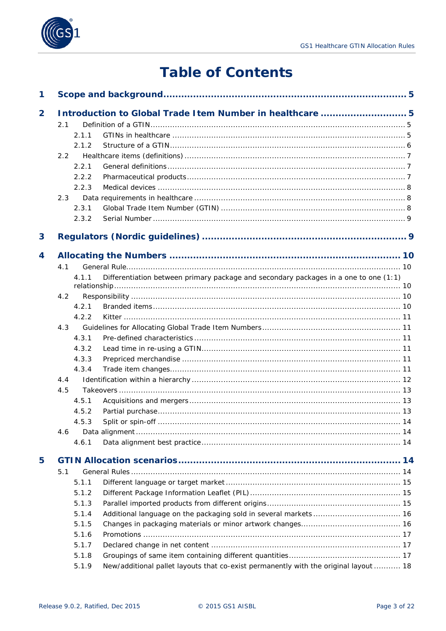

## **Table of Contents**

| 1              |     |       |                                                                                      |  |
|----------------|-----|-------|--------------------------------------------------------------------------------------|--|
| $\overline{2}$ |     |       | Introduction to Global Trade I tem Number in healthcare  5                           |  |
|                | 2.1 |       |                                                                                      |  |
|                |     | 2.1.1 |                                                                                      |  |
|                |     | 2.1.2 |                                                                                      |  |
|                | 2.2 |       |                                                                                      |  |
|                |     | 2.2.1 |                                                                                      |  |
|                |     | 2.2.2 |                                                                                      |  |
|                |     | 2.2.3 |                                                                                      |  |
|                | 2.3 |       |                                                                                      |  |
|                |     | 2.3.1 |                                                                                      |  |
|                |     | 2.3.2 |                                                                                      |  |
| 3              |     |       |                                                                                      |  |
| 4              |     |       |                                                                                      |  |
|                | 4.1 |       |                                                                                      |  |
|                |     | 4.1.1 | Differentiation between primary package and secondary packages in a one to one (1:1) |  |
|                |     |       |                                                                                      |  |
|                | 4.2 |       |                                                                                      |  |
|                |     | 4.2.1 |                                                                                      |  |
|                |     | 4.2.2 |                                                                                      |  |
|                | 4.3 |       |                                                                                      |  |
|                |     | 4.3.1 |                                                                                      |  |
|                |     | 4.3.2 |                                                                                      |  |
|                |     | 4.3.3 |                                                                                      |  |
|                |     | 4.3.4 |                                                                                      |  |
|                | 4.4 |       |                                                                                      |  |
|                | 4.5 |       |                                                                                      |  |
|                |     | 4.5.1 |                                                                                      |  |
|                |     | 4.5.2 |                                                                                      |  |
|                |     | 4.5.3 |                                                                                      |  |
|                | 4.6 |       |                                                                                      |  |
|                |     | 4.6.1 |                                                                                      |  |
| 5              |     |       |                                                                                      |  |
|                | 5.1 |       |                                                                                      |  |
|                |     | 5.1.1 |                                                                                      |  |
|                |     | 5.1.2 |                                                                                      |  |
|                |     | 5.1.3 |                                                                                      |  |
|                |     | 5.1.4 |                                                                                      |  |
|                |     | 5.1.5 |                                                                                      |  |
|                |     | 5.1.6 |                                                                                      |  |
|                |     | 5.1.7 |                                                                                      |  |
|                |     | 5.1.8 |                                                                                      |  |
|                |     | 5.1.9 | New/additional pallet layouts that co-exist permanently with the original layout  18 |  |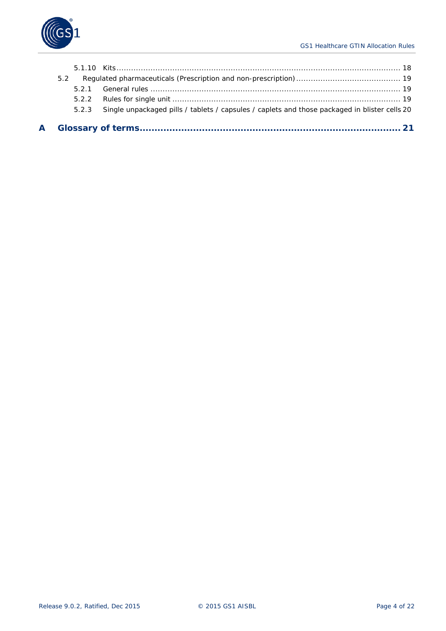

| 5.2 |                                                                                                     |  |
|-----|-----------------------------------------------------------------------------------------------------|--|
| 521 |                                                                                                     |  |
|     |                                                                                                     |  |
|     | 5.2.3 Single unpackaged pills / tablets / capsules / caplets and those packaged in blister cells 20 |  |
|     |                                                                                                     |  |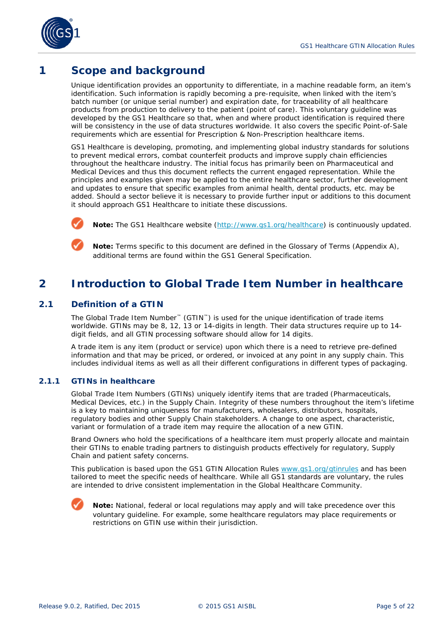

## <span id="page-4-0"></span>**1 Scope and background**

Unique identification provides an opportunity to differentiate, in a machine readable form, an item's identification. Such information is rapidly becoming a pre-requisite, when linked with the item's batch number (or unique serial number) and expiration date, for traceability of all healthcare products from production to delivery to the patient (point of care). This voluntary guideline was developed by the GS1 Healthcare so that, when and where product identification is required there will be consistency in the use of data structures worldwide. It also covers the specific Point-of-Sale requirements which are essential for Prescription & Non-Prescription healthcare items.

GS1 Healthcare is developing, promoting, and implementing global industry standards for solutions to prevent medical errors, combat counterfeit products and improve supply chain efficiencies throughout the healthcare industry. The initial focus has primarily been on Pharmaceutical and Medical Devices and thus this document reflects the current engaged representation. While the principles and examples given may be applied to the entire healthcare sector, further development and updates to ensure that specific examples from animal health, dental products, etc. may be added. Should a sector believe it is necessary to provide further input or additions to this document it should approach GS1 Healthcare to initiate these discussions.



**Note:** The GS1 Healthcare website (*<http://www.gs1.org/healthcare>*) is continuously updated.

**Note:** Terms specific to this document are defined in the Glossary of Terms (Appendix A), additional terms are found within the GS1 General Specification.

## <span id="page-4-1"></span>**2 Introduction to Global Trade Item Number in healthcare**

#### <span id="page-4-2"></span>**2.1 Definition of a GTIN**

The Global Trade Item Number™ (GTIN™) is used for the unique identification of trade items worldwide. GTINs may be 8, 12, 13 or 14-digits in length. Their data structures require up to 14 digit fields, and all GTIN processing software should allow for 14 digits.

A trade item is any item (product or service) upon which there is a need to retrieve pre-defined information and that may be priced, or ordered, or invoiced at any point in any supply chain. This includes individual items as well as all their different configurations in different types of packaging.

#### <span id="page-4-3"></span>**2.1.1 GTINs in healthcare**

Global Trade Item Numbers (GTINs) uniquely identify items that are traded (Pharmaceuticals, Medical Devices, etc.) in the Supply Chain. Integrity of these numbers throughout the item's lifetime is a key to maintaining uniqueness for manufacturers, wholesalers, distributors, hospitals, regulatory bodies and other Supply Chain stakeholders. A change to one aspect, characteristic, variant or formulation of a trade item may require the allocation of a new GTIN.

Brand Owners who hold the specifications of a healthcare item must properly allocate and maintain their GTINs to enable trading partners to distinguish products effectively for regulatory, Supply Chain and patient safety concerns.

This publication is based upon the GS1 GTIN Allocation Rules *[www.gs1.org/gtinrules](http://www.gs1.org/gtinrules)* and has been tailored to meet the specific needs of healthcare. While all GS1 standards are voluntary, the rules are intended to drive consistent implementation in the Global Healthcare Community.



**Note:** National, federal or local regulations may apply and will take precedence over this voluntary guideline. For example, some healthcare regulators may place requirements or restrictions on GTIN use within their jurisdiction.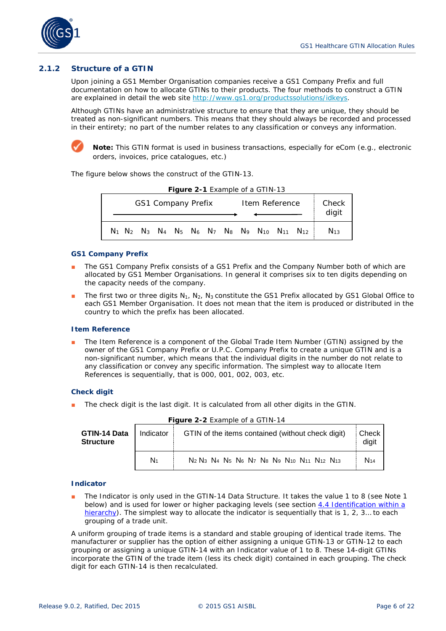

#### <span id="page-5-0"></span>**2.1.2 Structure of a GTIN**

Upon joining a GS1 Member Organisation companies receive a GS1 Company Prefix and full documentation on how to allocate GTINs to their products. The four methods to construct a GTIN are explained in detail the web site *<http://www.gs1.org/productssolutions/idkeys>*.

Although GTINs have an administrative structure to ensure that they are unique, they should be treated as non-significant numbers. This means that they should always be recorded and processed in their entirety; no part of the number relates to any classification or conveys any information.



**Note:** This GTIN format is used in business transactions, especially for eCom (e.g., electronic orders, invoices, price catalogues, etc.)

The figure below shows the construct of the GTIN-13.

|  |  |  |                           |  | <b>Figure 2-1</b> Example of a GTIN-13 |                                                                                                                                                                                        |                |
|--|--|--|---------------------------|--|----------------------------------------|----------------------------------------------------------------------------------------------------------------------------------------------------------------------------------------|----------------|
|  |  |  | <b>GS1 Company Prefix</b> |  |                                        | Item Reference                                                                                                                                                                         | Check<br>digit |
|  |  |  |                           |  |                                        | N <sub>1</sub> N <sub>2</sub> N <sub>3</sub> N <sub>4</sub> N <sub>5</sub> N <sub>6</sub> N <sub>7</sub> N <sub>8</sub> N <sub>9</sub> N <sub>10</sub> N <sub>11</sub> N <sub>12</sub> | $N_{13}$       |

#### **Figure 2-1** Example of a GTIN-13

#### **GS1 Company Prefix**

- The GS1 Company Prefix consists of a GS1 Prefix and the Company Number both of which are allocated by GS1 Member Organisations. In general it comprises six to ten digits depending on the capacity needs of the company.
- **The first two or three digits N<sub>1</sub>, N<sub>2</sub>, N<sub>3</sub> constitute the GS1 Prefix allocated by GS1 Global Office to** each GS1 Member Organisation. It does not mean that the item is produced or distributed in the country to which the prefix has been allocated.

#### **Item Reference**

The Item Reference is a component of the Global Trade Item Number (GTIN) assigned by the owner of the GS1 Company Prefix or U.P.C. Company Prefix to create a unique GTIN and is a non-significant number, which means that the individual digits in the number do not relate to any classification or convey any specific information. The simplest way to allocate Item References is sequentially, that is 000, 001, 002, 003, etc.

#### **Check digit**

The check digit is the last digit. It is calculated from all other digits in the GTIN.

| GTIN-14 Data<br><b>Structure</b> | Indicator | GTIN of the items contained (without check digit)                                                                                                                                       | $ $ Check $ $<br>digit |
|----------------------------------|-----------|-----------------------------------------------------------------------------------------------------------------------------------------------------------------------------------------|------------------------|
|                                  | $N_1$     | N <sub>2</sub> N <sub>3</sub> N <sub>4</sub> N <sub>5</sub> N <sub>6</sub> N <sub>7</sub> N <sub>8</sub> N <sub>9</sub> N <sub>10</sub> N <sub>11</sub> N <sub>12</sub> N <sub>13</sub> | $N_{14}$               |

#### **Figure 2-2** Example of a GTIN-14

#### **Indicator**

The Indicator is only used in the GTIN-14 Data Structure. It takes the value 1 to 8 (see Note 1 below) and is used for lower or higher packaging levels (see section *[4.4](#page-11-0) [Identification within a](#page-11-0)  [hierarchy](#page-11-0)*). The simplest way to allocate the indicator is sequentially that is 1, 2, 3… to each grouping of a trade unit.

A uniform grouping of trade items is a standard and stable grouping of identical trade items. The manufacturer or supplier has the option of either assigning a unique GTIN-13 or GTIN-12 to each grouping or assigning a unique GTIN-14 with an Indicator value of 1 to 8. These 14-digit GTINs incorporate the GTIN of the trade item (less its check digit) contained in each grouping. The check digit for each GTIN-14 is then recalculated.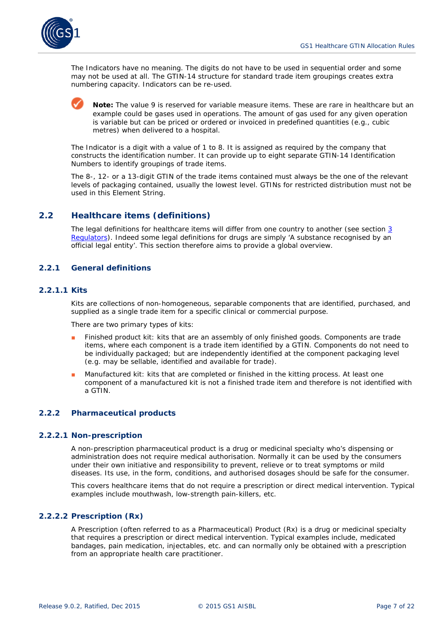

The Indicators have no meaning. The digits do not have to be used in sequential order and some may not be used at all. The GTIN-14 structure for standard trade item groupings creates extra numbering capacity. Indicators can be re-used.

**Note:** The value 9 is reserved for variable measure items. These are rare in healthcare but an example could be gases used in operations. The amount of gas used for any given operation is variable but can be priced or ordered or invoiced in predefined quantities (e.g., cubic metres) when delivered to a hospital.

The Indicator is a digit with a value of 1 to 8. It is assigned as required by the company that constructs the identification number. It can provide up to eight separate GTIN-14 Identification Numbers to identify groupings of trade items.

The 8-, 12- or a 13-digit GTIN of the trade items contained must always be the one of the relevant levels of packaging contained, usually the lowest level. GTINs for restricted distribution must not be used in this Element String.

#### <span id="page-6-0"></span>**2.2 Healthcare items (definitions)**

The legal definitions for healthcare items will differ from one country to another (see section *[3](#page-8-1) [Regulators](#page-8-1)*). Indeed some legal definitions for drugs are simply 'A substance recognised by an official legal entity'. This section therefore aims to provide a global overview.

#### <span id="page-6-1"></span>**2.2.1 General definitions**

#### **2.2.1.1 Kits**

Kits are collections of non-homogeneous, separable components that are identified, purchased, and supplied as a single trade item for a specific clinical or commercial purpose.

There are two primary types of kits:

- Finished product kit: kits that are an assembly of only finished goods. Components are trade items, where each component is a trade item identified by a GTIN. Components do not need to be individually packaged; but are independently identified at the component packaging level (e.g. may be sellable, identified and available for trade).
- Manufactured kit: kits that are completed or finished in the kitting process. At least one component of a manufactured kit is not a finished trade item and therefore is not identified with a GTIN.

#### <span id="page-6-2"></span>**2.2.2 Pharmaceutical products**

#### **2.2.2.1 Non-prescription**

A non-prescription pharmaceutical product is a drug or medicinal specialty who's dispensing or administration does not require medical authorisation. Normally it can be used by the consumers under their own initiative and responsibility to prevent, relieve or to treat symptoms or mild diseases. Its use, in the form, conditions, and authorised dosages should be safe for the consumer.

This covers healthcare items that do not require a prescription or direct medical intervention. Typical examples include mouthwash, low-strength pain-killers, etc.

#### **2.2.2.2 Prescription (Rx)**

A Prescription (often referred to as a Pharmaceutical) Product (Rx) is a drug or medicinal specialty that requires a prescription or direct medical intervention. Typical examples include, medicated bandages, pain medication, injectables, etc. and can normally only be obtained with a prescription from an appropriate health care practitioner.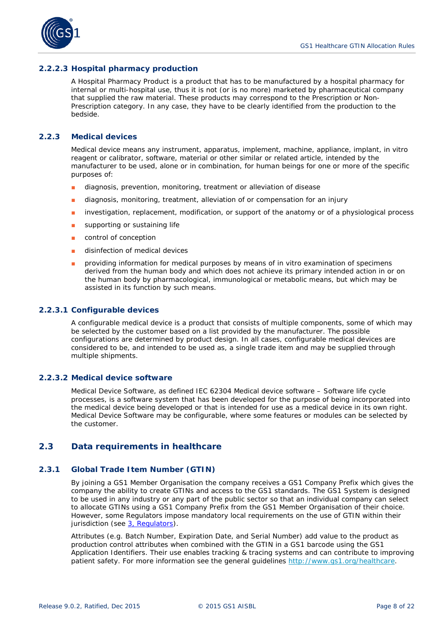

#### **2.2.2.3 Hospital pharmacy production**

A Hospital Pharmacy Product is a product that has to be manufactured by a hospital pharmacy for internal or multi-hospital use, thus it is not (or is no more) marketed by pharmaceutical company that supplied the raw material. These products may correspond to the Prescription or Non-Prescription category. In any case, they have to be clearly identified from the production to the bedside.

#### <span id="page-7-0"></span>**2.2.3 Medical devices**

Medical device means any instrument, apparatus, implement, machine, appliance, implant, in vitro reagent or calibrator, software, material or other similar or related article, intended by the manufacturer to be used, alone or in combination, for human beings for one or more of the specific purposes of:

- diagnosis, prevention, monitoring, treatment or alleviation of disease
- diagnosis, monitoring, treatment, alleviation of or compensation for an injury
- investigation, replacement, modification, or support of the anatomy or of a physiological process
- supporting or sustaining life
- control of conception
- disinfection of medical devices
- providing information for medical purposes by means of in vitro examination of specimens derived from the human body and which does not achieve its primary intended action in or on the human body by pharmacological, immunological or metabolic means, but which may be assisted in its function by such means.

#### **2.2.3.1 Configurable devices**

A configurable medical device is a product that consists of multiple components, some of which may be selected by the customer based on a list provided by the manufacturer. The possible configurations are determined by product design. In all cases, configurable medical devices are considered to be, and intended to be used as, a single trade item and may be supplied through multiple shipments.

#### **2.2.3.2 Medical device software**

Medical Device Software, as defined IEC 62304 *Medical device software – Software life cycle processes*, is a software system that has been developed for the purpose of being incorporated into the medical device being developed or that is intended for use as a medical device in its own right. Medical Device Software may be configurable, where some features or modules can be selected by the customer.

#### <span id="page-7-1"></span>**2.3 Data requirements in healthcare**

#### <span id="page-7-2"></span>**2.3.1 Global Trade Item Number (GTIN)**

By joining a GS1 Member Organisation the company receives a GS1 Company Prefix which gives the company the ability to create GTINs and access to the GS1 standards. The GS1 System is designed to be used in any industry or any part of the public sector so that an individual company can select to allocate GTINs using a GS1 Company Prefix from the GS1 Member Organisation of their choice. However, some Regulators impose mandatory local requirements on the use of GTIN within their jurisdiction (see *3, Regulators*).

Attributes (e.g. Batch Number, Expiration Date, and Serial Number) add value to the product as production control attributes when combined with the GTIN in a GS1 barcode using the GS1 Application Identifiers. Their use enables tracking & tracing systems and can contribute to improving patient safety. For more information see the general guidelines *<http://www.gs1.org/healthcare>*.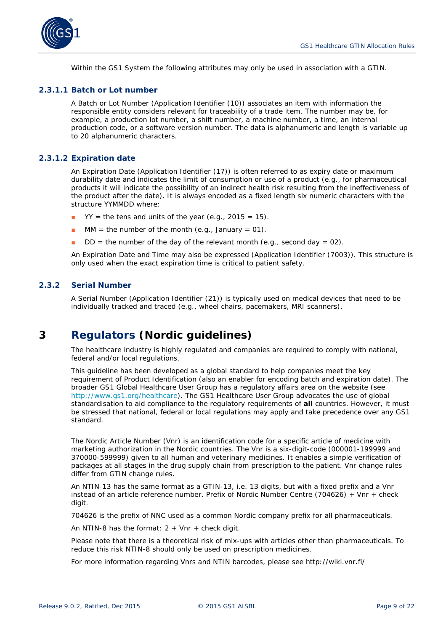

Within the GS1 System the following attributes may only be used in association with a GTIN.

#### **2.3.1.1 Batch or Lot number**

A Batch or Lot Number (Application Identifier (10)) associates an item with information the responsible entity considers relevant for traceability of a trade item. The number may be, for example, a production lot number, a shift number, a machine number, a time, an internal production code, or a software version number. The data is alphanumeric and length is variable up to 20 alphanumeric characters.

#### **2.3.1.2 Expiration date**

An Expiration Date (Application Identifier (17)) is often referred to as expiry date or maximum durability date and indicates the limit of consumption or use of a product (e.g., for pharmaceutical products it will indicate the possibility of an indirect health risk resulting from the ineffectiveness of the product after the date). It is always encoded as a fixed length six numeric characters with the structure YYMMDD where:

- $YY =$  the tens and units of the year (e.g., 2015 = 15).
- $MM =$  the number of the month (e.g., January = 01).
- $DD =$  the number of the day of the relevant month (e.g., second day = 02).

An Expiration Date and Time may also be expressed (Application Identifier (7003)). This structure is only used when the exact expiration time is critical to patient safety.

#### <span id="page-8-0"></span>**2.3.2 Serial Number**

A Serial Number (Application Identifier (21)) is typically used on medical devices that need to be individually tracked and traced (e.g., wheel chairs, pacemakers, MRI scanners).

## <span id="page-8-1"></span>**3 Regulators (Nordic guidelines)**

The healthcare industry is highly regulated and companies are required to comply with national, federal and/or local regulations.

This guideline has been developed as a global standard to help companies meet the key requirement of Product Identification (also an enabler for encoding batch and expiration date). The broader GS1 Global Healthcare User Group has a regulatory affairs area on the website (see *<http://www.gs1.org/healthcare>*). The GS1 Healthcare User Group advocates the use of global standardisation to aid compliance to the regulatory requirements of *all* countries. However, it must be stressed that national, federal or local regulations may apply and take precedence over any GS1 standard.

The Nordic Article Number (Vnr) is an identification code for a specific article of medicine with marketing authorization in the Nordic countries. The Vnr is a six-digit-code (000001-199999 and 370000-599999) given to all human and veterinary medicines. It enables a simple verification of packages at all stages in the drug supply chain from prescription to the patient. Vnr change rules differ from GTIN change rules.

An NTIN-13 has the same format as a GTIN-13, i.e. 13 digits, but with a fixed prefix and a Vnr instead of an article reference number. Prefix of Nordic Number Centre (704626) + Vnr + check digit.

704626 is the prefix of NNC used as a common Nordic company prefix for all pharmaceuticals.

An NTIN-8 has the format:  $2 + Vnr +$  check digit.

Please note that there is a theoretical risk of mix-ups with articles other than pharmaceuticals. To reduce this risk NTIN-8 should only be used on prescription medicines.

For more information regarding Vnrs and NTIN barcodes, please see http://wiki.vnr.fi/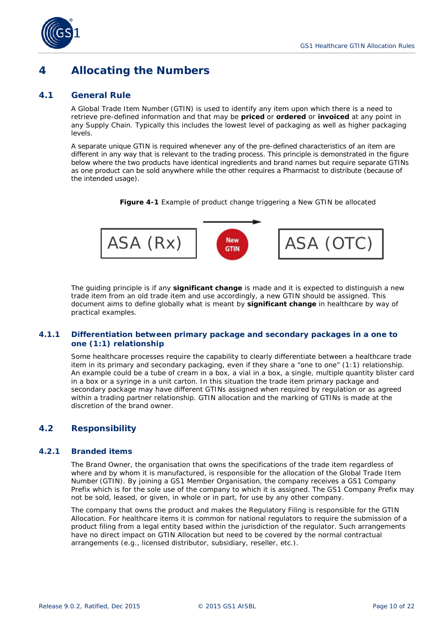

## <span id="page-9-0"></span>**4 Allocating the Numbers**

#### <span id="page-9-1"></span>**4.1 General Rule**

A Global Trade Item Number (GTIN) is used to identify any item upon which there is a need to retrieve pre-defined information and that may be **priced** or **ordered** or **invoiced** at any point in any Supply Chain. Typically this includes the lowest level of packaging as well as higher packaging levels.

A separate unique GTIN is required whenever any of the pre-defined characteristics of an item are different in any way that is relevant to the trading process. This principle is demonstrated in the figure below where the two products have identical ingredients and brand names but require separate GTINs as one product can be sold anywhere while the other requires a Pharmacist to distribute (because of the intended usage).

**Figure 4-1** Example of product change triggering a New GTIN be allocated



The guiding principle is if any *significant change* is made and it is expected to distinguish a new trade item from an old trade item and use accordingly, a new GTIN should be assigned. This document aims to define globally what is meant by *significant change* in healthcare by way of practical examples.

#### <span id="page-9-2"></span>**4.1.1 Differentiation between primary package and secondary packages in a one to one (1:1) relationship**

Some healthcare processes require the capability to clearly differentiate between a healthcare trade item in its primary and secondary packaging, even if they share a "one to one" (1:1) relationship. An example could be a tube of cream in a box, a vial in a box, a single, multiple quantity blister card in a box or a syringe in a unit carton. In this situation the trade item primary package and secondary package may have different GTINs assigned when required by regulation or as agreed within a trading partner relationship. GTIN allocation and the marking of GTINs is made at the discretion of the brand owner.

#### <span id="page-9-3"></span>**4.2 Responsibility**

#### <span id="page-9-4"></span>**4.2.1 Branded items**

The Brand Owner, the organisation that owns the specifications of the trade item regardless of where and by whom it is manufactured, is responsible for the allocation of the Global Trade Item Number (GTIN). By joining a GS1 Member Organisation, the company receives a GS1 Company Prefix which is for the sole use of the company to which it is assigned. The GS1 Company Prefix may not be sold, leased, or given, in whole or in part, for use by any other company.

The company that owns the product and makes the Regulatory Filing is responsible for the GTIN Allocation. For healthcare items it is common for national regulators to require the submission of a product filing from a legal entity based within the jurisdiction of the regulator. Such arrangements have no direct impact on GTIN Allocation but need to be covered by the normal contractual arrangements (e.g., licensed distributor, subsidiary, reseller, etc.).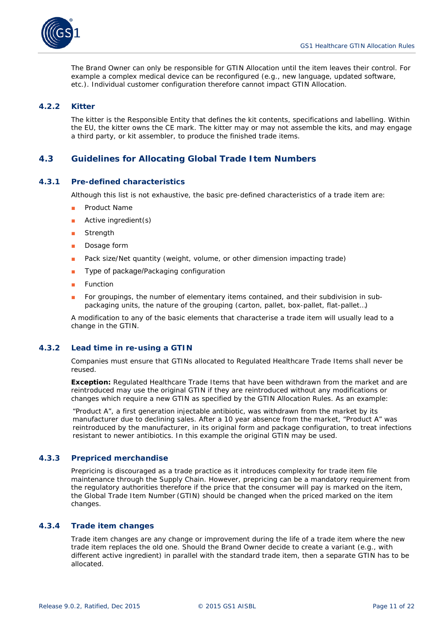

The Brand Owner can only be responsible for GTIN Allocation until the item leaves their control. For example a complex medical device can be reconfigured (e.g., new language, updated software, etc.). Individual customer configuration therefore cannot impact GTIN Allocation.

#### <span id="page-10-0"></span>**4.2.2 Kitter**

The kitter is the Responsible Entity that defines the kit contents, specifications and labelling. Within the EU, the kitter owns the CE mark. The kitter may or may not assemble the kits, and may engage a third party, or kit assembler, to produce the finished trade items.

#### <span id="page-10-1"></span>**4.3 Guidelines for Allocating Global Trade Item Numbers**

#### <span id="page-10-2"></span>**4.3.1 Pre-defined characteristics**

Although this list is not exhaustive, the basic pre-defined characteristics of a trade item are:

- Product Name
- Active ingredient(s)
- Strength
- Dosage form
- Pack size/Net quantity (weight, volume, or other dimension impacting trade)
- Type of package/Packaging configuration
- Function
- For groupings, the number of elementary items contained, and their subdivision in subpackaging units, the nature of the grouping (carton, pallet, box-pallet, flat-pallet…)

A modification to any of the basic elements that characterise a trade item will usually lead to a change in the GTIN.

#### <span id="page-10-3"></span>**4.3.2 Lead time in re-using a GTIN**

Companies must ensure that GTINs allocated to Regulated Healthcare Trade Items shall never be reused.

**Exception:** Regulated Healthcare Trade Items that have been withdrawn from the market and are reintroduced may use the original GTIN if they are reintroduced without any modifications or changes which require a new GTIN as specified by the GTIN Allocation Rules. As an example:

"Product A", a first generation injectable antibiotic, was withdrawn from the market by its manufacturer due to declining sales. After a 10 year absence from the market, "Product A" was reintroduced by the manufacturer, in its original form and package configuration, to treat infections resistant to newer antibiotics. In this example the original GTIN may be used.

#### <span id="page-10-4"></span>**4.3.3 Prepriced merchandise**

Prepricing is discouraged as a trade practice as it introduces complexity for trade item file maintenance through the Supply Chain. However, prepricing can be a mandatory requirement from the regulatory authorities therefore if the price that the consumer will pay is marked on the item, the Global Trade Item Number (GTIN) should be changed when the priced marked on the item changes.

#### <span id="page-10-5"></span>**4.3.4 Trade item changes**

Trade item changes are any change or improvement during the life of a trade item where the new trade item replaces the old one. Should the Brand Owner decide to create a variant (e.g., with different active ingredient) in parallel with the standard trade item, then a separate GTIN has to be allocated.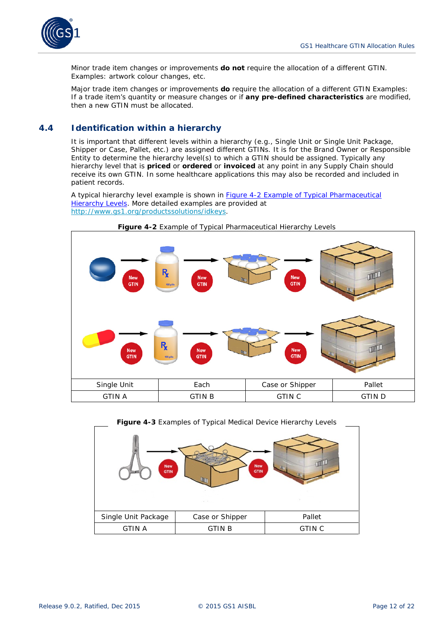

Minor trade item changes or improvements *do not* require the allocation of a different GTIN. Examples: artwork colour changes, etc.

Major trade item changes or improvements *do* require the allocation of a different GTIN Examples: If a trade item's quantity or measure changes or if *any pre-defined characteristics* are modified, then a new GTIN must be allocated.

#### <span id="page-11-0"></span>**4.4 Identification within a hierarchy**

It is important that different levels within a hierarchy (e.g., Single Unit or Single Unit Package, Shipper or Case, Pallet, etc.) are assigned different GTINs. It is for the Brand Owner or Responsible Entity to determine the hierarchy level(s) to which a GTIN should be assigned. Typically any hierarchy level that is *priced* or *ordered* or *invoiced* at any point in any Supply Chain should receive its own GTIN. In some healthcare applications this may also be recorded and included in patient records.

A typical hierarchy level example is shown in *Figure 4-2 Example of Typical Pharmaceutical Hierarchy Levels*. More detailed examples are provided at *<http://www.gs1.org/productssolutions/idkeys>*.





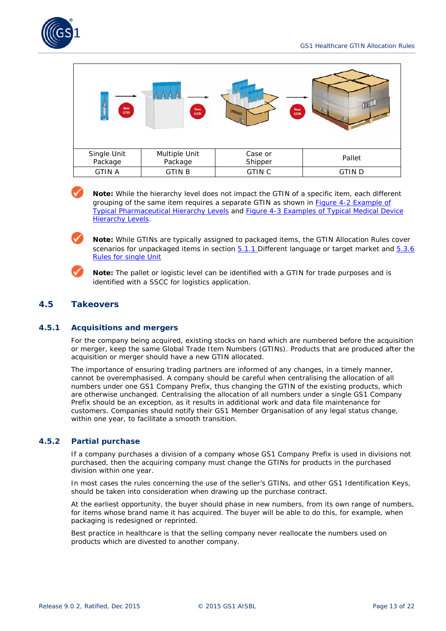

| ģ<br><b>New</b><br><b>GTIN</b><br><b>PE</b> | ô<br>ä<br>â<br>New<br><b>GTIN</b> | <b>New</b><br>SYRINGES<br><b>GTIN</b> | <b>Unit</b>  |
|---------------------------------------------|-----------------------------------|---------------------------------------|--------------|
| Single Unit<br>Package                      | Multiple Unit<br>Package          | Case or<br>Shipper                    | Pallet       |
| <b>GTIN A</b>                               | <b>GTIN B</b>                     | <b>GTIN C</b>                         | <b>GTIND</b> |

**Note:** While the hierarchy level does not impact the GTIN of a specific item, each different grouping of the same item requires a separate GTIN as shown in *Figure 4-2 Example of Typical Pharmaceutical Hierarchy Levels* and *Figure 4-3 Examples of Typical Medical Device Hierarchy Levels*.

**Note:** While GTINs are typically assigned to packaged items, the GTIN Allocation Rules cover scenarios for unpackaged items in section *5.1.1* Different language or target market and *5.3.6 Rules for single Unit*



**Note:** The pallet or logistic level can be identified with a GTIN for trade purposes and is identified with a SSCC for logistics application.

#### <span id="page-12-0"></span>**4.5 Takeovers**

#### <span id="page-12-1"></span>**4.5.1 Acquisitions and mergers**

For the company being acquired, existing stocks on hand which are numbered before the acquisition or merger, keep the same Global Trade Item Numbers (GTINs). Products that are produced after the acquisition or merger should have a new GTIN allocated.

The importance of ensuring trading partners are informed of any changes, in a timely manner, cannot be overemphasised. A company should be careful when centralising the allocation of all numbers under one GS1 Company Prefix, thus changing the GTIN of the existing products, which are otherwise unchanged. Centralising the allocation of all numbers under a single GS1 Company Prefix should be an exception, as it results in additional work and data file maintenance for customers. Companies should notify their GS1 Member Organisation of any legal status change, within one year, to facilitate a smooth transition.

#### <span id="page-12-2"></span>**4.5.2 Partial purchase**

If a company purchases a division of a company whose GS1 Company Prefix is used in divisions not purchased, then the acquiring company must change the GTINs for products in the purchased division within one year.

In most cases the rules concerning the use of the seller's GTINs, and other GS1 Identification Keys, should be taken into consideration when drawing up the purchase contract.

At the earliest opportunity, the buyer should phase in new numbers, from its own range of numbers, for items whose brand name it has acquired. The buyer will be able to do this, for example, when packaging is redesigned or reprinted.

Best practice in healthcare is that the selling company never reallocate the numbers used on products which are divested to another company.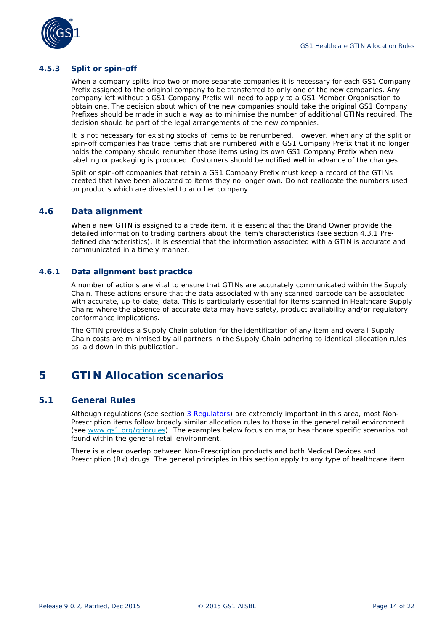

#### <span id="page-13-0"></span>**4.5.3 Split or spin-off**

When a company splits into two or more separate companies it is necessary for each GS1 Company Prefix assigned to the original company to be transferred to only one of the new companies. Any company left without a GS1 Company Prefix will need to apply to a GS1 Member Organisation to obtain one. The decision about which of the new companies should take the original GS1 Company Prefixes should be made in such a way as to minimise the number of additional GTINs required. The decision should be part of the legal arrangements of the new companies.

It is not necessary for existing stocks of items to be renumbered. However, when any of the split or spin-off companies has trade items that are numbered with a GS1 Company Prefix that it no longer holds the company should renumber those items using its own GS1 Company Prefix when new labelling or packaging is produced. Customers should be notified well in advance of the changes.

Split or spin-off companies that retain a GS1 Company Prefix must keep a record of the GTINs created that have been allocated to items they no longer own. Do not reallocate the numbers used on products which are divested to another company.

#### <span id="page-13-1"></span>**4.6 Data alignment**

When a new GTIN is assigned to a trade item, it is essential that the Brand Owner provide the detailed information to trading partners about the item's characteristics (see section 4.3.1 Predefined characteristics). It is essential that the information associated with a GTIN is accurate and communicated in a timely manner.

#### <span id="page-13-2"></span>**4.6.1 Data alignment best practice**

A number of actions are vital to ensure that GTINs are accurately communicated within the Supply Chain. These actions ensure that the data associated with any scanned barcode can be associated with accurate, up-to-date, data. This is particularly essential for items scanned in Healthcare Supply Chains where the absence of accurate data may have safety, product availability and/or regulatory conformance implications.

The GTIN provides a Supply Chain solution for the identification of any item and overall Supply Chain costs are minimised by all partners in the Supply Chain adhering to identical allocation rules as laid down in this publication.

## <span id="page-13-3"></span>**5 GTIN Allocation scenarios**

#### <span id="page-13-4"></span>**5.1 General Rules**

Although regulations (see section *3 Regulators*) are extremely important in this area, most Non-Prescription items follow broadly similar allocation rules to those in the general retail environment (see *[www.gs1.org/gtinrules](http://www.gs1.org/gtinrules)*). The examples below focus on major healthcare specific scenarios not found within the general retail environment.

There is a clear overlap between Non-Prescription products and both Medical Devices and Prescription (Rx) drugs. The general principles in this section apply to any type of healthcare item.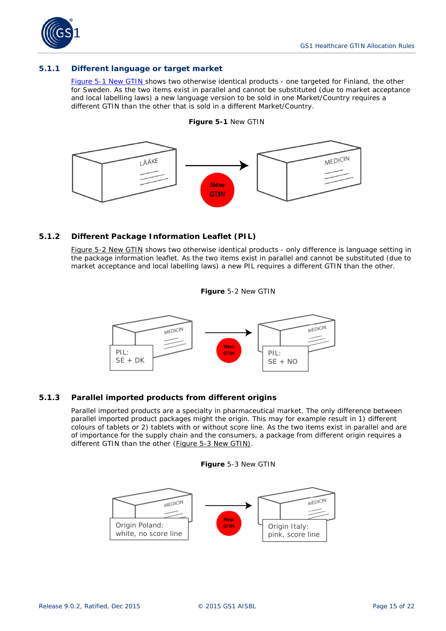

#### <span id="page-14-0"></span>**5.1.1 Different language or target market**

*Figure 5-1 New GTIN* shows two otherwise identical products - one targeted for Finland, the other for Sweden. As the two items exist in parallel and cannot be substituted (due to market acceptance and local labelling laws) a new language version to be sold in one Market/Country requires a different GTIN than the other that is sold in a different Market/Country.





#### <span id="page-14-1"></span>**5.1.2 Different Package Information Leaflet (PIL)**

*Figure 5-2 New GTIN* shows two otherwise identical products - only difference is language setting in the package information leaflet. As the two items exist in parallel and cannot be substituted (due to market acceptance and local labelling laws) a new PIL requires a different GTIN than the other.





#### <span id="page-14-2"></span>**5.1.3 Parallel imported products from different origins**

Parallel imported products are a specialty in pharmaceutical market. The only difference between parallel imported product packages might the origin. This may for example result in 1) different colours of tablets or 2) tablets with or without score line. As the two items exist in parallel and are of importance for the supply chain and the consumers, a package from different origin requires a different GTIN than the other (*Figure 5-3 New GTIN)*.



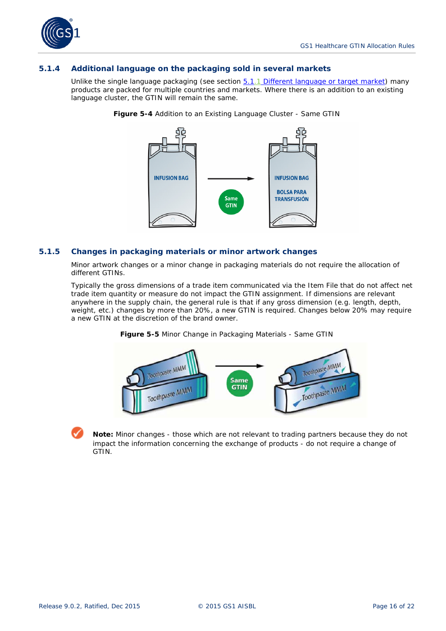

#### <span id="page-15-0"></span>**5.1.4 Additional language on the packaging sold in several markets**

Unlike the single language packaging (see section *[5.1.1](#page-14-0) [Different language or target market](#page-14-0)*) many products are packed for multiple countries and markets. Where there is an addition to an existing language cluster, the GTIN will remain the same.



**Figure 5-4** Addition to an Existing Language Cluster - Same GTIN

#### <span id="page-15-1"></span>**5.1.5 Changes in packaging materials or minor artwork changes**

Minor artwork changes or a minor change in packaging materials do not require the allocation of different GTINs.

Typically the gross dimensions of a trade item communicated via the Item File that do not affect net trade item quantity or measure do not impact the GTIN assignment. If dimensions are relevant anywhere in the supply chain, the general rule is that if any gross dimension (e.g. length, depth, weight, etc.) changes by more than 20%, a new GTIN is required. Changes below 20% may require a new GTIN at the discretion of the brand owner.



**Figure 5-5** Minor Change in Packaging Materials - Same GTIN

**Note:** Minor changes - those which are not relevant to trading partners because they do not impact the information concerning the exchange of products - do not require a change of GTIN.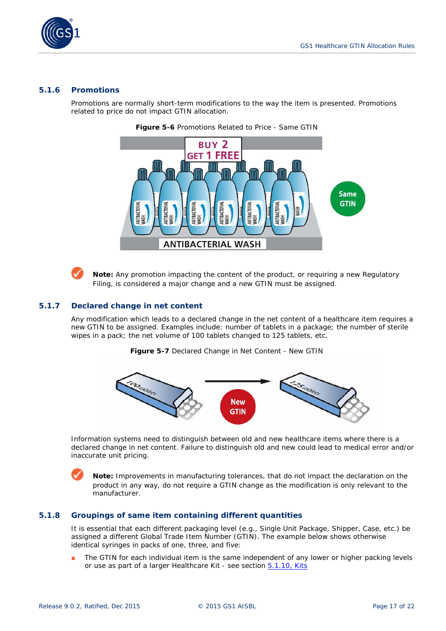

#### <span id="page-16-0"></span>**5.1.6 Promotions**

Promotions are normally short-term modifications to the way the item is presented. Promotions related to price do not impact GTIN allocation.



**Figure 5-6** Promotions Related to Price - Same GTIN

**Note:** Any promotion impacting the content of the product, or requiring a new Regulatory Filing, is considered a major change and a new GTIN must be assigned.

#### <span id="page-16-1"></span>**5.1.7 Declared change in net content**

Any modification which leads to a declared change in the net content of a healthcare item requires a new GTIN to be assigned. Examples include: number of tablets in a package; the number of sterile wipes in a pack; the net volume of 100 tablets changed to 125 tablets, etc.

**Figure 5-7** Declared Change in Net Content - New GTIN



Information systems need to distinguish between old and new healthcare items where there is a declared change in net content. Failure to distinguish old and new could lead to medical error and/or inaccurate unit pricing.

**Note:** Improvements in manufacturing tolerances, that do not impact the declaration on the product in any way, do not require a GTIN change as the modification is only relevant to the manufacturer.

#### <span id="page-16-2"></span>**5.1.8 Groupings of same item containing different quantities**

It is essential that each different packaging level (e.g., Single Unit Package, Shipper, Case, etc.) be assigned a different Global Trade Item Number (GTIN). The example below shows otherwise identical syringes in packs of one, three, and five:

The GTIN for each individual item is the same independent of any lower or higher packing levels or use as part of a larger Healthcare Kit - see section *5.1.10, Kits*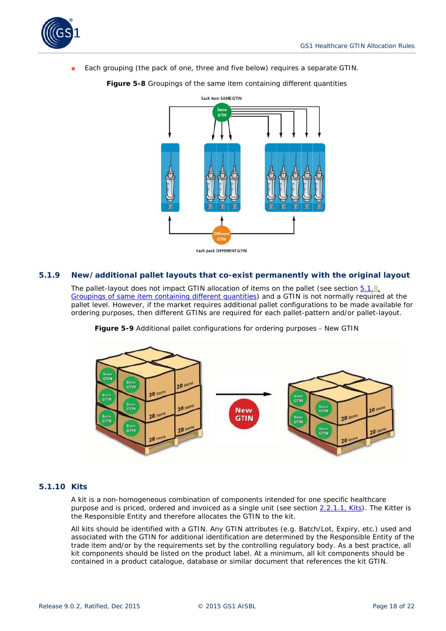

Each grouping (the pack of one, three and five below) requires a separate GTIN.

Each item SAME GTIN **GTIN** 屬 Each pack DIFFERENT GTIN

**Figure 5-8** Groupings of the same item containing different quantities

#### <span id="page-17-0"></span>**5.1.9 New/additional pallet layouts that co-exist permanently with the original layout**

The pallet-layout does not impact GTIN allocation of items on the pallet (see section *5.1.8, Groupings of same item containing different quantities*) and a GTIN is not normally required at the pallet level. However, if the market requires additional pallet configurations to be made available for ordering purposes, then different GTINs are required for each pallet-pattern and/or pallet-layout.



**Figure 5-9** Additional pallet configurations for ordering purposes - New GTIN

#### <span id="page-17-1"></span>**5.1.10 Kits**

A kit is a non-homogeneous combination of components intended for one specific healthcare purpose and is priced, ordered and invoiced as a single unit (see section *2.2.1.1, Kits*). The Kitter is the Responsible Entity and therefore allocates the GTIN to the kit.

All kits should be identified with a GTIN. Any GTIN attributes (e.g. Batch/Lot, Expiry, etc.) used and associated with the GTIN for additional identification are determined by the Responsible Entity of the trade item and/or by the requirements set by the controlling regulatory body. As a best practice, all kit components should be listed on the product label. At a minimum, all kit components should be contained in a product catalogue, database or similar document that references the kit GTIN.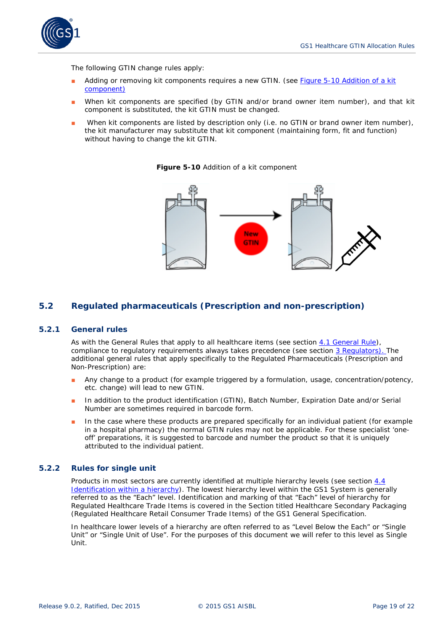

The following GTIN change rules apply:

- Adding or removing kit components requires a new GTIN. (see *Figure 5-10 Addition of a kit component)*
- When kit components are specified (by GTIN and/or brand owner item number), and that kit component is substituted, the kit GTIN must be changed.
- When kit components are listed by description only (i.e. no GTIN or brand owner item number), the kit manufacturer may substitute that kit component (maintaining form, fit and function) without having to change the kit GTIN.

**Figure 5-10** Addition of a kit component



#### <span id="page-18-0"></span>**5.2 Regulated pharmaceuticals (Prescription and non-prescription)**

#### <span id="page-18-1"></span>**5.2.1 General rules**

As with the General Rules that apply to all healthcare items (see section *[4.1](#page-9-1) [General Rule](#page-9-1)*), compliance to regulatory requirements always takes precedence (see section *[3](#page-8-1) [Regulators\)](#page-8-1).* The additional general rules that apply specifically to the Regulated Pharmaceuticals (Prescription and Non-Prescription) are:

- Any change to a product (for example triggered by a formulation, usage, concentration/potency, etc. change) will lead to new GTIN.
- In addition to the product identification (GTIN), Batch Number, Expiration Date and/or Serial Number are sometimes required in barcode form.
- In the case where these products are prepared specifically for an individual patient (for example in a hospital pharmacy) the normal GTIN rules may not be applicable. For these specialist 'oneoff' preparations, it is suggested to barcode and number the product so that it is uniquely attributed to the individual patient.

#### <span id="page-18-2"></span>**5.2.2 Rules for single unit**

Products in most sectors are currently identified at multiple hierarchy levels (see section *[4.4](#page-11-0) [Identification within a hierarchy](#page-11-0)*). The lowest hierarchy level within the GS1 System is generally referred to as the "Each" level. Identification and marking of that "Each" level of hierarchy for Regulated Healthcare Trade Items is covered in the Section titled *Healthcare Secondary Packaging (Regulated Healthcare Retail Consumer Trade Items)* of the GS1 General Specification.

In healthcare lower levels of a hierarchy are often referred to as "Level Below the Each" or "Single Unit" or "Single Unit of Use". For the purposes of this document we will refer to this level as Single Unit.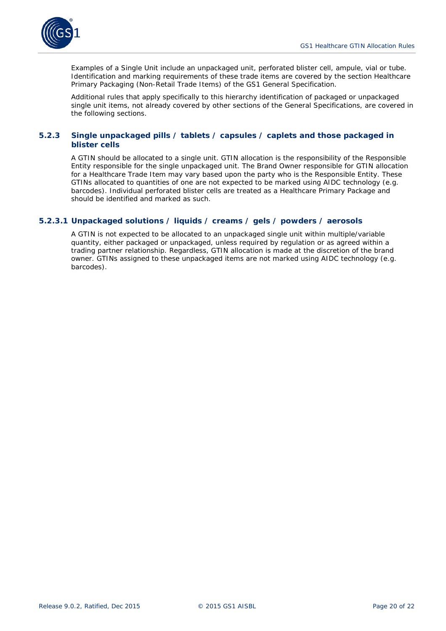

Examples of a Single Unit include an unpackaged unit, perforated blister cell, ampule, vial or tube. Identification and marking requirements of these trade items are covered by the section *Healthcare Primary Packaging (Non-Retail Trade Items)* of the GS1 General Specification.

Additional rules that apply specifically to this hierarchy identification of packaged or unpackaged single unit items, not already covered by other sections of the General Specifications, are covered in the following sections.

#### <span id="page-19-0"></span>**5.2.3 Single unpackaged pills / tablets / capsules / caplets and those packaged in blister cells**

A GTIN should be allocated to a single unit. GTIN allocation is the responsibility of the Responsible Entity responsible for the single unpackaged unit. The Brand Owner responsible for GTIN allocation for a Healthcare Trade Item may vary based upon the party who is the Responsible Entity. These GTINs allocated to quantities of one are not expected to be marked using AIDC technology (e.g. barcodes). Individual perforated blister cells are treated as a Healthcare Primary Package and should be identified and marked as such.

#### **5.2.3.1 Unpackaged solutions / liquids / creams / gels / powders / aerosols**

A GTIN is not expected to be allocated to an unpackaged single unit within multiple/variable quantity, either packaged or unpackaged, unless required by regulation or as agreed within a trading partner relationship. Regardless, GTIN allocation is made at the discretion of the brand owner. GTINs assigned to these unpackaged items are not marked using AIDC technology (e.g. barcodes).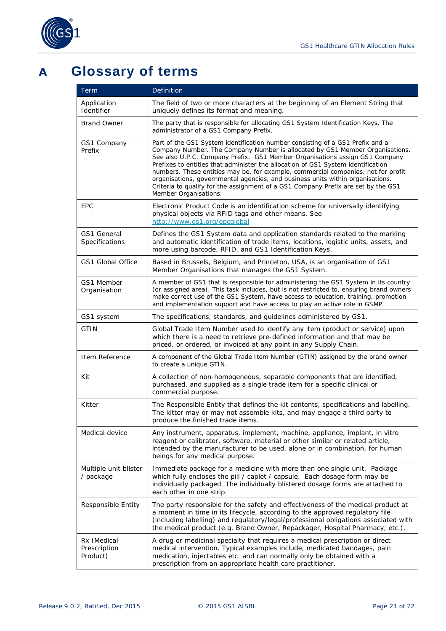

## <span id="page-20-0"></span>**A Glossary of terms**

| Term                                    | Definition                                                                                                                                                                                                                                                                                                                                                                                                                                                                                                                                                                                                            |
|-----------------------------------------|-----------------------------------------------------------------------------------------------------------------------------------------------------------------------------------------------------------------------------------------------------------------------------------------------------------------------------------------------------------------------------------------------------------------------------------------------------------------------------------------------------------------------------------------------------------------------------------------------------------------------|
| Application<br>Identifier               | The field of two or more characters at the beginning of an Element String that<br>uniquely defines its format and meaning.                                                                                                                                                                                                                                                                                                                                                                                                                                                                                            |
| <b>Brand Owner</b>                      | The party that is responsible for allocating GS1 System Identification Keys. The<br>administrator of a GS1 Company Prefix.                                                                                                                                                                                                                                                                                                                                                                                                                                                                                            |
| GS1 Company<br>Prefix                   | Part of the GS1 System identification number consisting of a GS1 Prefix and a<br>Company Number. The Company Number is allocated by GS1 Member Organisations.<br>See also U.P.C. Company Prefix. GS1 Member Organisations assign GS1 Company<br>Prefixes to entities that administer the allocation of GS1 System identification<br>numbers. These entities may be, for example, commercial companies, not for profit<br>organisations, governmental agencies, and business units within organisations.<br>Criteria to qualify for the assignment of a GS1 Company Prefix are set by the GS1<br>Member Organisations. |
| <b>EPC</b>                              | Electronic Product Code is an identification scheme for universally identifying<br>physical objects via RFID tags and other means. See<br>http://www.gs1.org/epcglobal                                                                                                                                                                                                                                                                                                                                                                                                                                                |
| GS1 General<br>Specifications           | Defines the GS1 System data and application standards related to the marking<br>and automatic identification of trade items, locations, logistic units, assets, and<br>more using barcode, RFID, and GS1 Identification Keys.                                                                                                                                                                                                                                                                                                                                                                                         |
| <b>GS1 Global Office</b>                | Based in Brussels, Belgium, and Princeton, USA, is an organisation of GS1<br>Member Organisations that manages the GS1 System.                                                                                                                                                                                                                                                                                                                                                                                                                                                                                        |
| GS1 Member<br>Organisation              | A member of GS1 that is responsible for administering the GS1 System in its country<br>(or assigned area). This task includes, but is not restricted to, ensuring brand owners<br>make correct use of the GS1 System, have access to education, training, promotion<br>and implementation support and have access to play an active role in GSMP.                                                                                                                                                                                                                                                                     |
| GS1 system                              | The specifications, standards, and guidelines administered by GS1.                                                                                                                                                                                                                                                                                                                                                                                                                                                                                                                                                    |
| <b>GTIN</b>                             | Global Trade Item Number used to identify any item (product or service) upon<br>which there is a need to retrieve pre-defined information and that may be<br>priced, or ordered, or invoiced at any point in any Supply Chain.                                                                                                                                                                                                                                                                                                                                                                                        |
| Item Reference                          | A component of the Global Trade Item Number (GTIN) assigned by the brand owner<br>to create a unique GTIN.                                                                                                                                                                                                                                                                                                                                                                                                                                                                                                            |
| Kit                                     | A collection of non-homogeneous, separable components that are identified,<br>purchased, and supplied as a single trade item for a specific clinical or<br>commercial purpose.                                                                                                                                                                                                                                                                                                                                                                                                                                        |
| Kitter                                  | The Responsible Entity that defines the kit contents, specifications and labelling.<br>The kitter may or may not assemble kits, and may engage a third party to<br>produce the finished trade items.                                                                                                                                                                                                                                                                                                                                                                                                                  |
| Medical device                          | Any instrument, apparatus, implement, machine, appliance, implant, in vitro<br>reagent or calibrator, software, material or other similar or related article,<br>intended by the manufacturer to be used, alone or in combination, for human<br>beings for any medical purpose.                                                                                                                                                                                                                                                                                                                                       |
| Multiple unit blister<br>/ package      | Immediate package for a medicine with more than one single unit. Package<br>which fully encloses the pill / caplet / capsule. Each dosage form may be<br>individually packaged. The individually blistered dosage forms are attached to<br>each other in one strip.                                                                                                                                                                                                                                                                                                                                                   |
| Responsible Entity                      | The party responsible for the safety and effectiveness of the medical product at<br>a moment in time in its lifecycle, according to the approved regulatory file<br>(including labelling) and regulatory/legal/professional obligations associated with<br>the medical product (e.g. Brand Owner, Repackager, Hospital Pharmacy, etc.).                                                                                                                                                                                                                                                                               |
| Rx (Medical<br>Prescription<br>Product) | A drug or medicinal specialty that requires a medical prescription or direct<br>medical intervention. Typical examples include, medicated bandages, pain<br>medication, injectables etc. and can normally only be obtained with a<br>prescription from an appropriate health care practitioner.                                                                                                                                                                                                                                                                                                                       |